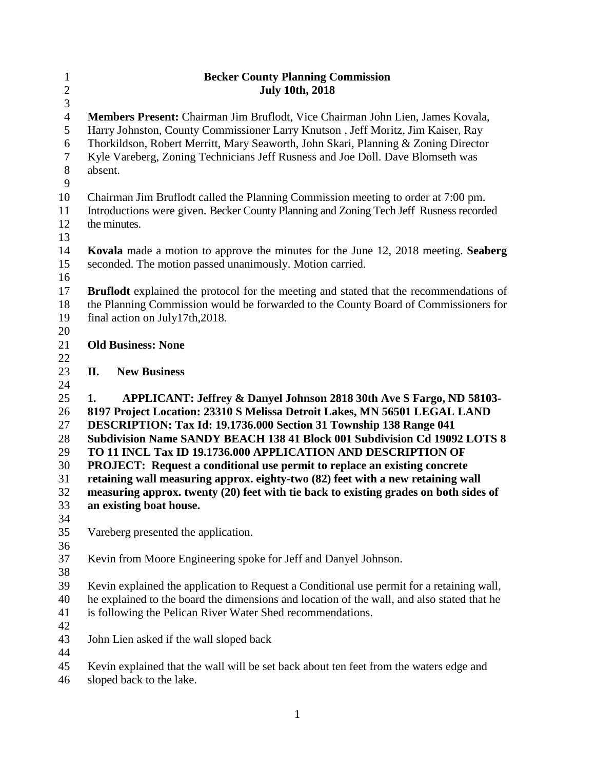| $\mathbf{1}$   | <b>Becker County Planning Commission</b>                                                                                                              |  |  |  |  |  |
|----------------|-------------------------------------------------------------------------------------------------------------------------------------------------------|--|--|--|--|--|
| $\overline{c}$ | <b>July 10th, 2018</b>                                                                                                                                |  |  |  |  |  |
| $\overline{3}$ |                                                                                                                                                       |  |  |  |  |  |
| $\overline{4}$ | Members Present: Chairman Jim Bruflodt, Vice Chairman John Lien, James Kovala,                                                                        |  |  |  |  |  |
| 5              | Harry Johnston, County Commissioner Larry Knutson, Jeff Moritz, Jim Kaiser, Ray                                                                       |  |  |  |  |  |
| 6              | Thorkildson, Robert Merritt, Mary Seaworth, John Skari, Planning & Zoning Director                                                                    |  |  |  |  |  |
| $\tau$         | Kyle Vareberg, Zoning Technicians Jeff Rusness and Joe Doll. Dave Blomseth was                                                                        |  |  |  |  |  |
| $8\,$          | absent.                                                                                                                                               |  |  |  |  |  |
| 9              |                                                                                                                                                       |  |  |  |  |  |
| 10             | Chairman Jim Bruflodt called the Planning Commission meeting to order at 7:00 pm.                                                                     |  |  |  |  |  |
| 11             | Introductions were given. Becker County Planning and Zoning Tech Jeff Rusness recorded                                                                |  |  |  |  |  |
| 12             | the minutes.                                                                                                                                          |  |  |  |  |  |
| 13             |                                                                                                                                                       |  |  |  |  |  |
| 14             | <b>Kovala</b> made a motion to approve the minutes for the June 12, 2018 meeting. Seaberg<br>seconded. The motion passed unanimously. Motion carried. |  |  |  |  |  |
| 15             |                                                                                                                                                       |  |  |  |  |  |
| 16             |                                                                                                                                                       |  |  |  |  |  |
| 17             | <b>Bruflodt</b> explained the protocol for the meeting and stated that the recommendations of                                                         |  |  |  |  |  |
| 18<br>19       | the Planning Commission would be forwarded to the County Board of Commissioners for                                                                   |  |  |  |  |  |
| 20             | final action on July17th, 2018.                                                                                                                       |  |  |  |  |  |
| 21             | <b>Old Business: None</b>                                                                                                                             |  |  |  |  |  |
| 22             |                                                                                                                                                       |  |  |  |  |  |
| 23             | II.<br><b>New Business</b>                                                                                                                            |  |  |  |  |  |
| 24             |                                                                                                                                                       |  |  |  |  |  |
| 25             | APPLICANT: Jeffrey & Danyel Johnson 2818 30th Ave S Fargo, ND 58103-<br>1.                                                                            |  |  |  |  |  |
| 26             | 8197 Project Location: 23310 S Melissa Detroit Lakes, MN 56501 LEGAL LAND                                                                             |  |  |  |  |  |
| 27             | DESCRIPTION: Tax Id: 19.1736.000 Section 31 Township 138 Range 041                                                                                    |  |  |  |  |  |
| 28             | Subdivision Name SANDY BEACH 138 41 Block 001 Subdivision Cd 19092 LOTS 8                                                                             |  |  |  |  |  |
| 29             | TO 11 INCL Tax ID 19.1736.000 APPLICATION AND DESCRIPTION OF                                                                                          |  |  |  |  |  |
| 30             | <b>PROJECT:</b> Request a conditional use permit to replace an existing concrete                                                                      |  |  |  |  |  |
| 31             | retaining wall measuring approx. eighty-two (82) feet with a new retaining wall                                                                       |  |  |  |  |  |
| 32             | measuring approx. twenty (20) feet with tie back to existing grades on both sides of                                                                  |  |  |  |  |  |
| 33             | an existing boat house.                                                                                                                               |  |  |  |  |  |
| 34             |                                                                                                                                                       |  |  |  |  |  |
| 35             | Vareberg presented the application.                                                                                                                   |  |  |  |  |  |
| 36             |                                                                                                                                                       |  |  |  |  |  |
| 37             | Kevin from Moore Engineering spoke for Jeff and Danyel Johnson.                                                                                       |  |  |  |  |  |
| 38             |                                                                                                                                                       |  |  |  |  |  |
| 39             | Kevin explained the application to Request a Conditional use permit for a retaining wall,                                                             |  |  |  |  |  |
| 40             | he explained to the board the dimensions and location of the wall, and also stated that he                                                            |  |  |  |  |  |
| 41             | is following the Pelican River Water Shed recommendations.                                                                                            |  |  |  |  |  |
| 42             |                                                                                                                                                       |  |  |  |  |  |
| 43             | John Lien asked if the wall sloped back                                                                                                               |  |  |  |  |  |
| 44             |                                                                                                                                                       |  |  |  |  |  |
| 45             | Kevin explained that the wall will be set back about ten feet from the waters edge and                                                                |  |  |  |  |  |
| 46             | sloped back to the lake.                                                                                                                              |  |  |  |  |  |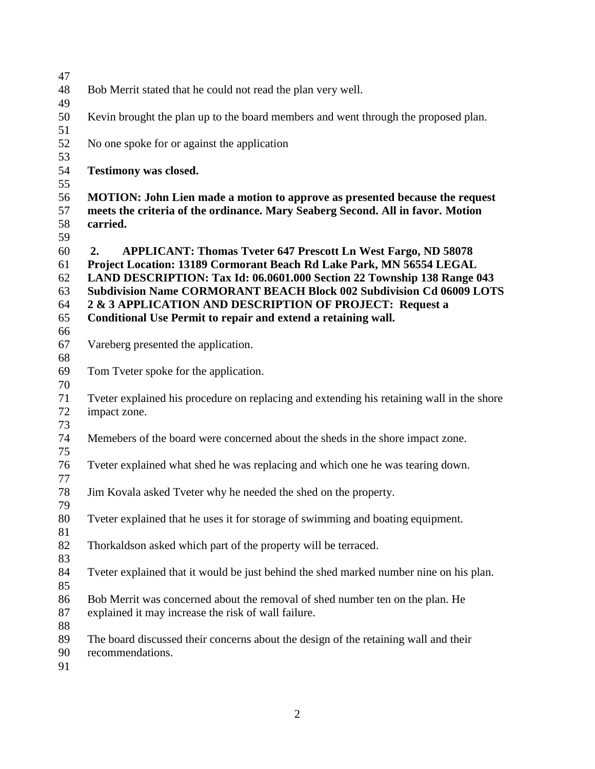| 47         |                                                                                           |  |  |  |  |  |  |
|------------|-------------------------------------------------------------------------------------------|--|--|--|--|--|--|
| 48         | Bob Merrit stated that he could not read the plan very well.                              |  |  |  |  |  |  |
| 49         |                                                                                           |  |  |  |  |  |  |
| 50         | Kevin brought the plan up to the board members and went through the proposed plan.        |  |  |  |  |  |  |
|            |                                                                                           |  |  |  |  |  |  |
| 51         |                                                                                           |  |  |  |  |  |  |
| 52         | No one spoke for or against the application                                               |  |  |  |  |  |  |
| 53         |                                                                                           |  |  |  |  |  |  |
| 54         | <b>Testimony was closed.</b>                                                              |  |  |  |  |  |  |
| 55         |                                                                                           |  |  |  |  |  |  |
| 56         | MOTION: John Lien made a motion to approve as presented because the request               |  |  |  |  |  |  |
| 57         | meets the criteria of the ordinance. Mary Seaberg Second. All in favor. Motion            |  |  |  |  |  |  |
| 58         | carried.                                                                                  |  |  |  |  |  |  |
| 59         |                                                                                           |  |  |  |  |  |  |
| 60         | <b>APPLICANT: Thomas Tveter 647 Prescott Ln West Fargo, ND 58078</b><br>2.                |  |  |  |  |  |  |
| 61         | Project Location: 13189 Cormorant Beach Rd Lake Park, MN 56554 LEGAL                      |  |  |  |  |  |  |
| 62         | LAND DESCRIPTION: Tax Id: 06.0601.000 Section 22 Township 138 Range 043                   |  |  |  |  |  |  |
| 63         | <b>Subdivision Name CORMORANT BEACH Block 002 Subdivision Cd 06009 LOTS</b>               |  |  |  |  |  |  |
| 64         | 2 & 3 APPLICATION AND DESCRIPTION OF PROJECT: Request a                                   |  |  |  |  |  |  |
| 65         | Conditional Use Permit to repair and extend a retaining wall.                             |  |  |  |  |  |  |
| 66         |                                                                                           |  |  |  |  |  |  |
| 67         | Vareberg presented the application.                                                       |  |  |  |  |  |  |
| 68         |                                                                                           |  |  |  |  |  |  |
|            |                                                                                           |  |  |  |  |  |  |
| 69         | Tom Tveter spoke for the application.                                                     |  |  |  |  |  |  |
| 70         |                                                                                           |  |  |  |  |  |  |
| 71         | Tveter explained his procedure on replacing and extending his retaining wall in the shore |  |  |  |  |  |  |
| 72         | impact zone.                                                                              |  |  |  |  |  |  |
| 73         |                                                                                           |  |  |  |  |  |  |
| 74         | Memebers of the board were concerned about the sheds in the shore impact zone.            |  |  |  |  |  |  |
| 75         |                                                                                           |  |  |  |  |  |  |
| 76         | Tveter explained what shed he was replacing and which one he was tearing down.            |  |  |  |  |  |  |
| 77         |                                                                                           |  |  |  |  |  |  |
| 78         | Jim Kovala asked Tveter why he needed the shed on the property.                           |  |  |  |  |  |  |
| 79         |                                                                                           |  |  |  |  |  |  |
| 80         | Typeter explained that he uses it for storage of swimming and boating equipment.          |  |  |  |  |  |  |
| 81         |                                                                                           |  |  |  |  |  |  |
| 82         | Thorkaldson asked which part of the property will be terraced.                            |  |  |  |  |  |  |
| 83         |                                                                                           |  |  |  |  |  |  |
| 84         | Typeter explained that it would be just behind the shed marked number nine on his plan.   |  |  |  |  |  |  |
| 85         |                                                                                           |  |  |  |  |  |  |
| 86         | Bob Merrit was concerned about the removal of shed number ten on the plan. He             |  |  |  |  |  |  |
| 87         | explained it may increase the risk of wall failure.                                       |  |  |  |  |  |  |
| 88         |                                                                                           |  |  |  |  |  |  |
| 89         | The board discussed their concerns about the design of the retaining wall and their       |  |  |  |  |  |  |
| 90         | recommendations.                                                                          |  |  |  |  |  |  |
| $\Omega$ 1 |                                                                                           |  |  |  |  |  |  |